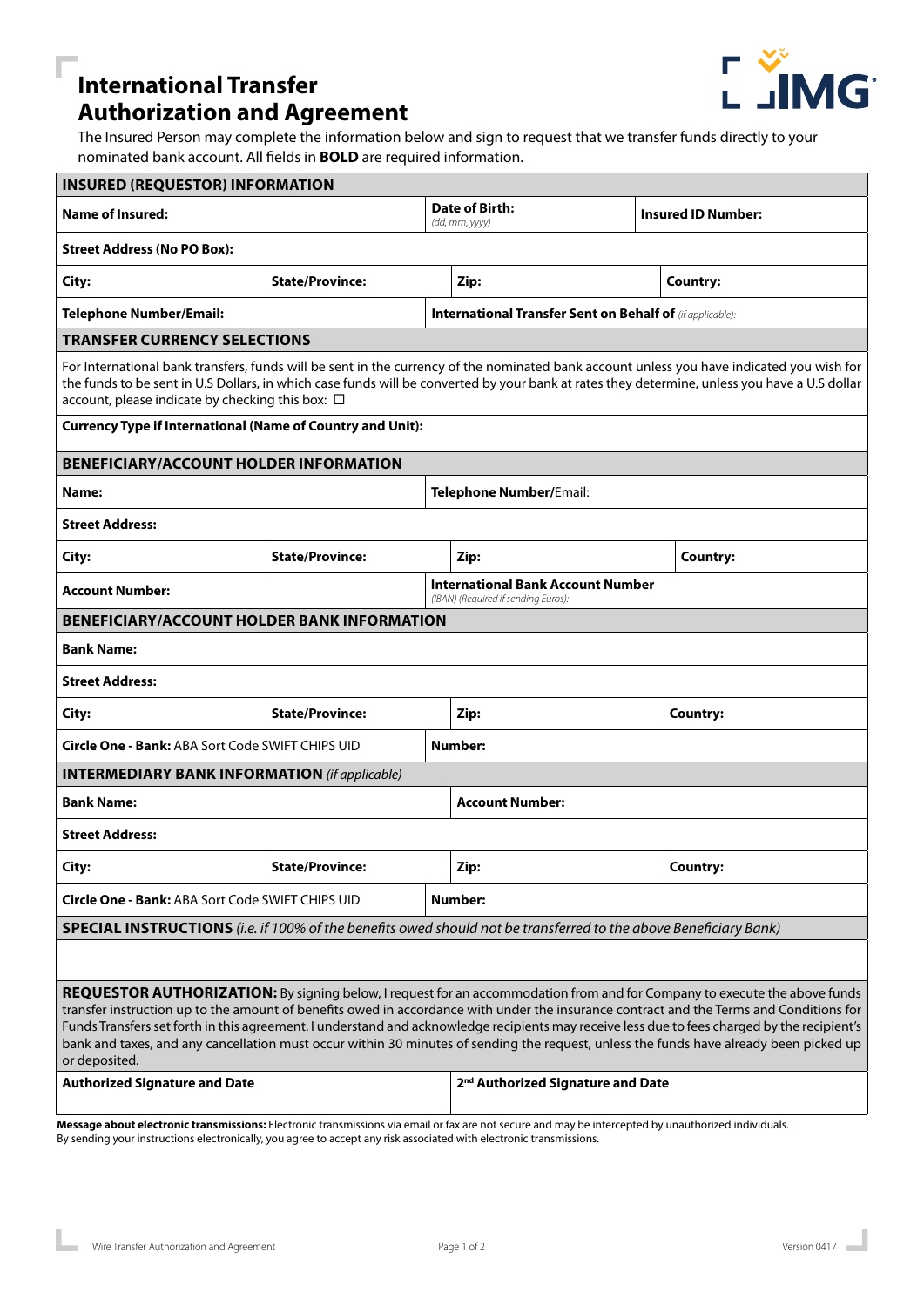## **International Transfer Authorization and Agreement**



The Insured Person may complete the information below and sign to request that we transfer funds directly to your nominated bank account. All fields in **BOLD** are required information.

| <b>INSURED (REQUESTOR) INFORMATION</b>                                                                                                                                                                                                                                                                                                                                                                                                                                                                                                                                          |                        |  |                                                                                 |  |                           |  |
|---------------------------------------------------------------------------------------------------------------------------------------------------------------------------------------------------------------------------------------------------------------------------------------------------------------------------------------------------------------------------------------------------------------------------------------------------------------------------------------------------------------------------------------------------------------------------------|------------------------|--|---------------------------------------------------------------------------------|--|---------------------------|--|
| <b>Name of Insured:</b>                                                                                                                                                                                                                                                                                                                                                                                                                                                                                                                                                         |                        |  | Date of Birth:<br>(dd, mm, yyyy)                                                |  | <b>Insured ID Number:</b> |  |
| <b>Street Address (No PO Box):</b>                                                                                                                                                                                                                                                                                                                                                                                                                                                                                                                                              |                        |  |                                                                                 |  |                           |  |
| City:                                                                                                                                                                                                                                                                                                                                                                                                                                                                                                                                                                           | <b>State/Province:</b> |  | Zip:                                                                            |  | Country:                  |  |
| <b>Telephone Number/Email:</b>                                                                                                                                                                                                                                                                                                                                                                                                                                                                                                                                                  |                        |  | <b>International Transfer Sent on Behalf of (if applicable):</b>                |  |                           |  |
| <b>TRANSFER CURRENCY SELECTIONS</b>                                                                                                                                                                                                                                                                                                                                                                                                                                                                                                                                             |                        |  |                                                                                 |  |                           |  |
| For International bank transfers, funds will be sent in the currency of the nominated bank account unless you have indicated you wish for<br>the funds to be sent in U.S Dollars, in which case funds will be converted by your bank at rates they determine, unless you have a U.S dollar<br>account, please indicate by checking this box: □                                                                                                                                                                                                                                  |                        |  |                                                                                 |  |                           |  |
| <b>Currency Type if International (Name of Country and Unit):</b>                                                                                                                                                                                                                                                                                                                                                                                                                                                                                                               |                        |  |                                                                                 |  |                           |  |
| <b>BENEFICIARY/ACCOUNT HOLDER INFORMATION</b>                                                                                                                                                                                                                                                                                                                                                                                                                                                                                                                                   |                        |  |                                                                                 |  |                           |  |
| Name:                                                                                                                                                                                                                                                                                                                                                                                                                                                                                                                                                                           |                        |  | <b>Telephone Number/Email:</b>                                                  |  |                           |  |
| <b>Street Address:</b>                                                                                                                                                                                                                                                                                                                                                                                                                                                                                                                                                          |                        |  |                                                                                 |  |                           |  |
| City:                                                                                                                                                                                                                                                                                                                                                                                                                                                                                                                                                                           | <b>State/Province:</b> |  | Zip:                                                                            |  | <b>Country:</b>           |  |
| <b>Account Number:</b>                                                                                                                                                                                                                                                                                                                                                                                                                                                                                                                                                          |                        |  | <b>International Bank Account Number</b><br>(IBAN) (Required if sending Euros): |  |                           |  |
| <b>BENEFICIARY/ACCOUNT HOLDER BANK INFORMATION</b>                                                                                                                                                                                                                                                                                                                                                                                                                                                                                                                              |                        |  |                                                                                 |  |                           |  |
| <b>Bank Name:</b>                                                                                                                                                                                                                                                                                                                                                                                                                                                                                                                                                               |                        |  |                                                                                 |  |                           |  |
| <b>Street Address:</b>                                                                                                                                                                                                                                                                                                                                                                                                                                                                                                                                                          |                        |  |                                                                                 |  |                           |  |
| City:                                                                                                                                                                                                                                                                                                                                                                                                                                                                                                                                                                           | <b>State/Province:</b> |  | Zip:                                                                            |  | Country:                  |  |
| <b>Circle One - Bank: ABA Sort Code SWIFT CHIPS UID</b><br><b>Number:</b>                                                                                                                                                                                                                                                                                                                                                                                                                                                                                                       |                        |  |                                                                                 |  |                           |  |
| <b>INTERMEDIARY BANK INFORMATION</b> (if applicable)                                                                                                                                                                                                                                                                                                                                                                                                                                                                                                                            |                        |  |                                                                                 |  |                           |  |
| <b>Bank Name:</b>                                                                                                                                                                                                                                                                                                                                                                                                                                                                                                                                                               |                        |  | <b>Account Number:</b>                                                          |  |                           |  |
| <b>Street Address:</b>                                                                                                                                                                                                                                                                                                                                                                                                                                                                                                                                                          |                        |  |                                                                                 |  |                           |  |
| City:                                                                                                                                                                                                                                                                                                                                                                                                                                                                                                                                                                           | <b>State/Province:</b> |  | Zip:                                                                            |  | <b>Country:</b>           |  |
| <b>Circle One - Bank: ABA Sort Code SWIFT CHIPS UID</b><br><b>Number:</b>                                                                                                                                                                                                                                                                                                                                                                                                                                                                                                       |                        |  |                                                                                 |  |                           |  |
| <b>SPECIAL INSTRUCTIONS</b> (i.e. if 100% of the benefits owed should not be transferred to the above Beneficiary Bank)                                                                                                                                                                                                                                                                                                                                                                                                                                                         |                        |  |                                                                                 |  |                           |  |
|                                                                                                                                                                                                                                                                                                                                                                                                                                                                                                                                                                                 |                        |  |                                                                                 |  |                           |  |
| REQUESTOR AUTHORIZATION: By signing below, I request for an accommodation from and for Company to execute the above funds<br>transfer instruction up to the amount of benefits owed in accordance with under the insurance contract and the Terms and Conditions for<br>Funds Transfers set forth in this agreement. I understand and acknowledge recipients may receive less due to fees charged by the recipient's<br>bank and taxes, and any cancellation must occur within 30 minutes of sending the request, unless the funds have already been picked up<br>or deposited. |                        |  |                                                                                 |  |                           |  |
| <b>Authorized Signature and Date</b>                                                                                                                                                                                                                                                                                                                                                                                                                                                                                                                                            |                        |  | 2 <sup>nd</sup> Authorized Signature and Date                                   |  |                           |  |
| Message about electronic transmissions: Electronic transmissions via email or fax are not secure and may be intercepted by unauthorized individuals.<br>By sending your instructions electronically, you agree to accept any risk associated with electronic transmissions.                                                                                                                                                                                                                                                                                                     |                        |  |                                                                                 |  |                           |  |